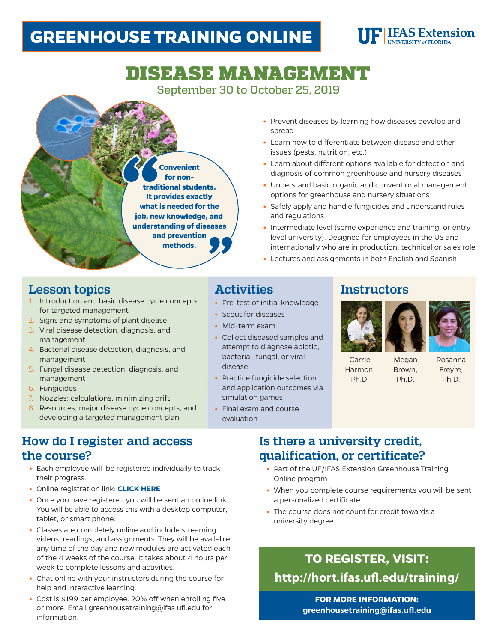# **GREENHOUSE TRAINING ONLINE**

# **UF IFAS Extension**

# DISEASE MANAGEMENT September 30 to October 25, 2019

**Convenient for nontraditional students. It provides exactly what is needed for the job, new knowledge, and understanding of diseases and prevention methods.**

- **•** Prevent diseases by learning how diseases develop and spread
- **•** Learn how to differentiate between disease and other issues (pests, nutrition, etc.)
- **•** Learn about different options available for detection and diagnosis of common greenhouse and nursery diseases
- **•** Understand basic organic and conventional management options for greenhouse and nursery situations
- **•** Safely apply and handle fungicides and understand rules and regulations
- **•** Intermediate level (some experience and training, or entry level university). Designed for employees in the US and internationally who are in production, technical or sales role
- **•** Lectures and assignments in both English and Spanish

# **Lesson topics**

- 1. Introduction and basic disease cycle concepts for targeted management
- 2. Signs and symptoms of plant disease
- 3. Viral disease detection, diagnosis, and management
- 4. Bacterial disease detection, diagnosis, and management
- 5. Fungal disease detection, diagnosis, and management
- 6. Fungicides
- 7. Nozzles: calculations, minimizing drift
- 8. Resources, major disease cycle concepts, and developing a targeted management plan

## **How do I register and access the course?**

- **•** Each employee will be registered individually to track their progress.
- **•** Online registration link: **[CLICK HERE](http://hort.ifas.ufl.edu/training/)**
- **•** Once you have registered you will be sent an online link. You will be able to access this with a desktop computer, tablet, or smart phone.
- **•** Classes are completely online and include streaming videos, readings, and assignments. They will be available any time of the day and new modules are activated each of the 4 weeks of the course. It takes about 4 hours per week to complete lessons and activities.
- **•** Chat online with your instructors during the course for help and interactive learning.
- **•** Cost is \$199 per employee. 20% off when enrolling five or more. Email greenhousetraining@ifas.ufl.edu for information.

# **Activities**

- **•** Pre-test of initial knowledge
- **•** Scout for diseases
- **•** Mid-term exam
- **•** Collect diseased samples and attempt to diagnose abiotic, bacterial, fungal, or viral disease
- **•** Practice fungicide selection and application outcomes via simulation games
- **•** Final exam and course evaluation

### **Instructors**



Megan Brown, Ph.D.



Carrie Harmon, Ph.D.

Rosanna Freyre, Ph.D.

# **Is there a university credit, qualification, or certificate?**

- **•** Part of the UF/IFAS Extension Greenhouse Training Online program
- **•** When you complete course requirements you will be sent a personalized certificate.
- **•** The course does not count for credit towards a university degree.

# **TO REGISTER, VISIT: <http://hort.ifas.ufl.edu/training/>**

**FOR MORE INFORMATION: greenhousetraining@ifas.ufl.edu**